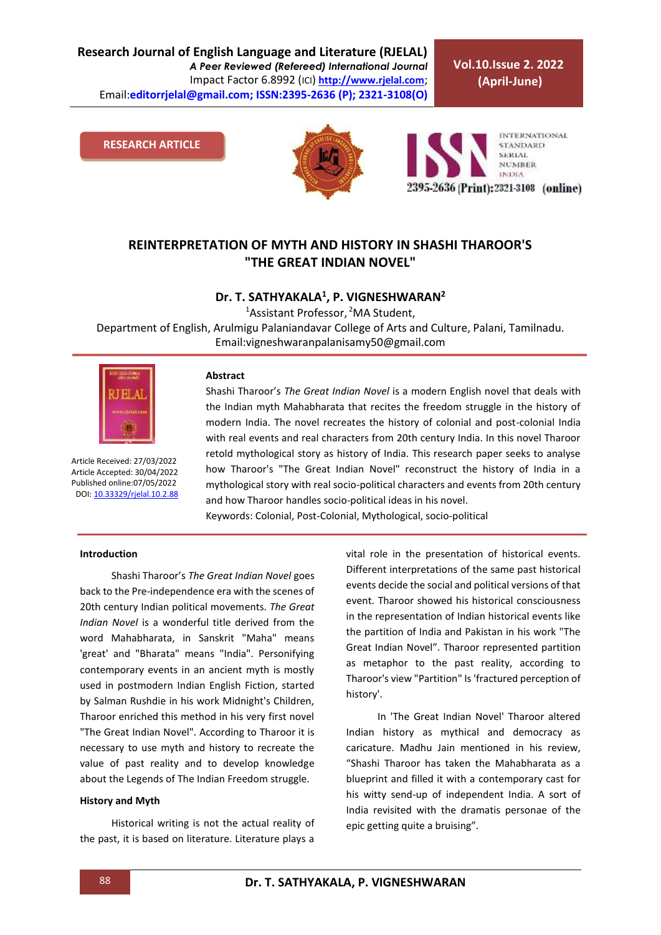**Vol.10.Issue 2. 2022 (April-June)**

**RESEARCH ARTICLE**





# **REINTERPRETATION OF MYTH AND HISTORY IN SHASHI THAROOR'S "THE GREAT INDIAN NOVEL"**

# **Dr. T. SATHYAKALA<sup>1</sup> , P. VIGNESHWARAN<sup>2</sup>**

<sup>1</sup>Assistant Professor, <sup>2</sup>MA Student, Department of English, Arulmigu Palaniandavar College of Arts and Culture, Palani, Tamilnadu. Email:vigneshwaranpalanisamy50@gmail.com



Article Received: 27/03/2022 Article Accepted: 30/04/2022 Published online:07/05/2022 DOI[: 10.33329/rjelal.10.2.8](http://www.rjelal.com/)8

#### **Abstract**

Shashi Tharoor's *The Great Indian Novel* is a modern English novel that deals with the Indian myth Mahabharata that recites the freedom struggle in the history of modern India. The novel recreates the history of colonial and post-colonial India with real events and real characters from 20th century India. In this novel Tharoor retold mythological story as history of India. This research paper seeks to analyse how Tharoor's "The Great Indian Novel" reconstruct the history of India in a mythological story with real socio-political characters and events from 20th century and how Tharoor handles socio-political ideas in his novel.

Keywords: Colonial, Post-Colonial, Mythological, socio-political

#### **Introduction**

Shashi Tharoor's *The Great Indian Novel* goes back to the Pre-independence era with the scenes of 20th century Indian political movements. *The Great Indian Novel* is a wonderful title derived from the word Mahabharata, in Sanskrit "Maha" means 'great' and "Bharata" means "India". Personifying contemporary events in an ancient myth is mostly used in postmodern Indian English Fiction, started by Salman Rushdie in his work Midnight's Children, Tharoor enriched this method in his very first novel "The Great Indian Novel". According to Tharoor it is necessary to use myth and history to recreate the value of past reality and to develop knowledge about the Legends of The Indian Freedom struggle.

#### **History and Myth**

Historical writing is not the actual reality of the past, it is based on literature. Literature plays a

vital role in the presentation of historical events. Different interpretations of the same past historical events decide the social and political versions of that event. Tharoor showed his historical consciousness in the representation of Indian historical events like the partition of India and Pakistan in his work "The Great Indian Novel". Tharoor represented partition as metaphor to the past reality, according to Tharoor's view "Partition" Is 'fractured perception of history'.

In 'The Great Indian Novel' Tharoor altered Indian history as mythical and democracy as caricature. Madhu Jain mentioned in his review, "Shashi Tharoor has taken the Mahabharata as a blueprint and filled it with a contemporary cast for his witty send-up of independent India. A sort of India revisited with the dramatis personae of the epic getting quite a bruising".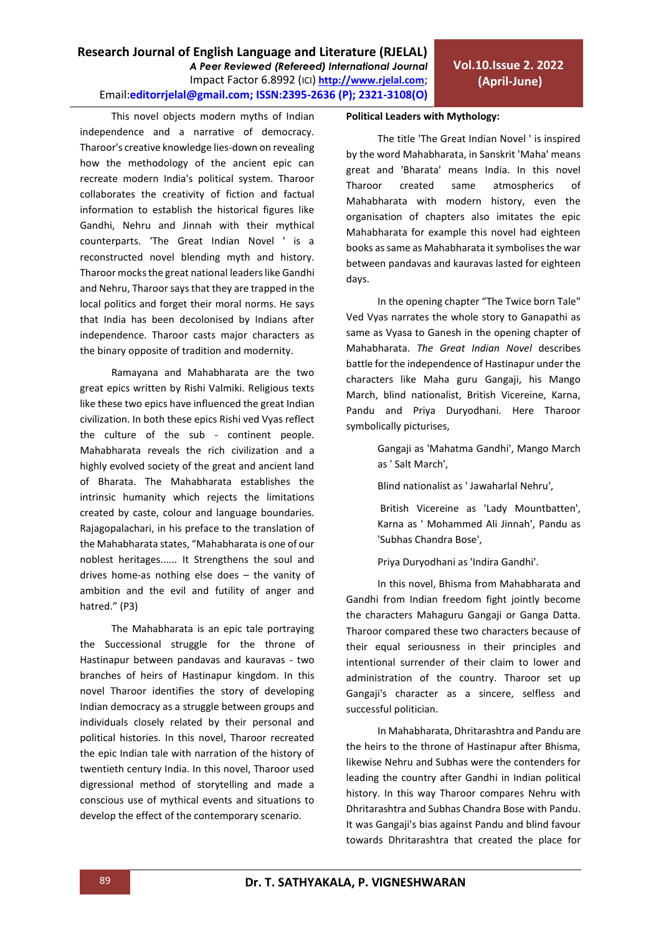This novel objects modern myths of Indian independence and a narrative of democracy. Tharoor's creative knowledge lies-down on revealing how the methodology of the ancient epic can recreate modern India's political system. Tharoor collaborates the creativity of fiction and factual information to establish the historical figures like Gandhi, Nehru and Jinnah with their mythical counterparts. 'The Great Indian Novel ' is a reconstructed novel blending myth and history. Tharoor mocks the great national leaders like Gandhi and Nehru, Tharoor says that they are trapped in the local politics and forget their moral norms. He says that India has been decolonised by Indians after independence. Tharoor casts major characters as the binary opposite of tradition and modernity.

Ramayana and Mahabharata are the two great epics written by Rishi Valmiki. Religious texts like these two epics have influenced the great Indian civilization. In both these epics Rishi ved Vyas reflect the culture of the sub - continent people. Mahabharata reveals the rich civilization and a highly evolved society of the great and ancient land of Bharata. The Mahabharata establishes the intrinsic humanity which rejects the limitations created by caste, colour and language boundaries. Rajagopalachari, in his preface to the translation of the Mahabharata states, "Mahabharata is one of our noblest heritages...... It Strengthens the soul and drives home-as nothing else does – the vanity of ambition and the evil and futility of anger and hatred." (P3)

The Mahabharata is an epic tale portraying the Successional struggle for the throne of Hastinapur between pandavas and kauravas - two branches of heirs of Hastinapur kingdom. In this novel Tharoor identifies the story of developing Indian democracy as a struggle between groups and individuals closely related by their personal and political histories. In this novel, Tharoor recreated the epic Indian tale with narration of the history of twentieth century India. In this novel, Tharoor used digressional method of storytelling and made a conscious use of mythical events and situations to develop the effect of the contemporary scenario.

## **Political Leaders with Mythology:**

The title 'The Great Indian Novel ' is inspired by the word Mahabharata, in Sanskrit 'Maha' means great and 'Bharata' means India. In this novel Tharoor created same atmospherics of Mahabharata with modern history, even the organisation of chapters also imitates the epic Mahabharata for example this novel had eighteen books as same as Mahabharata it symbolises the war between pandavas and kauravas lasted for eighteen days.

In the opening chapter "The Twice born Tale" Ved Vyas narrates the whole story to Ganapathi as same as Vyasa to Ganesh in the opening chapter of Mahabharata. *The Great Indian Novel* describes battle for the independence of Hastinapur under the characters like Maha guru Gangaji, his Mango March, blind nationalist, British Vicereine, Karna, Pandu and Priya Duryodhani. Here Tharoor symbolically picturises,

> Gangaji as 'Mahatma Gandhi', Mango March as ' Salt March',

Blind nationalist as ' Jawaharlal Nehru',

British Vicereine as 'Lady Mountbatten', Karna as ' Mohammed Ali Jinnah', Pandu as 'Subhas Chandra Bose',

Priya Duryodhani as 'Indira Gandhi'.

In this novel, Bhisma from Mahabharata and Gandhi from Indian freedom fight jointly become the characters Mahaguru Gangaji or Ganga Datta. Tharoor compared these two characters because of their equal seriousness in their principles and intentional surrender of their claim to lower and administration of the country. Tharoor set up Gangaji's character as a sincere, selfless and successful politician.

In Mahabharata, Dhritarashtra and Pandu are the heirs to the throne of Hastinapur after Bhisma, likewise Nehru and Subhas were the contenders for leading the country after Gandhi in Indian political history. In this way Tharoor compares Nehru with Dhritarashtra and Subhas Chandra Bose with Pandu. It was Gangaji's bias against Pandu and blind favour towards Dhritarashtra that created the place for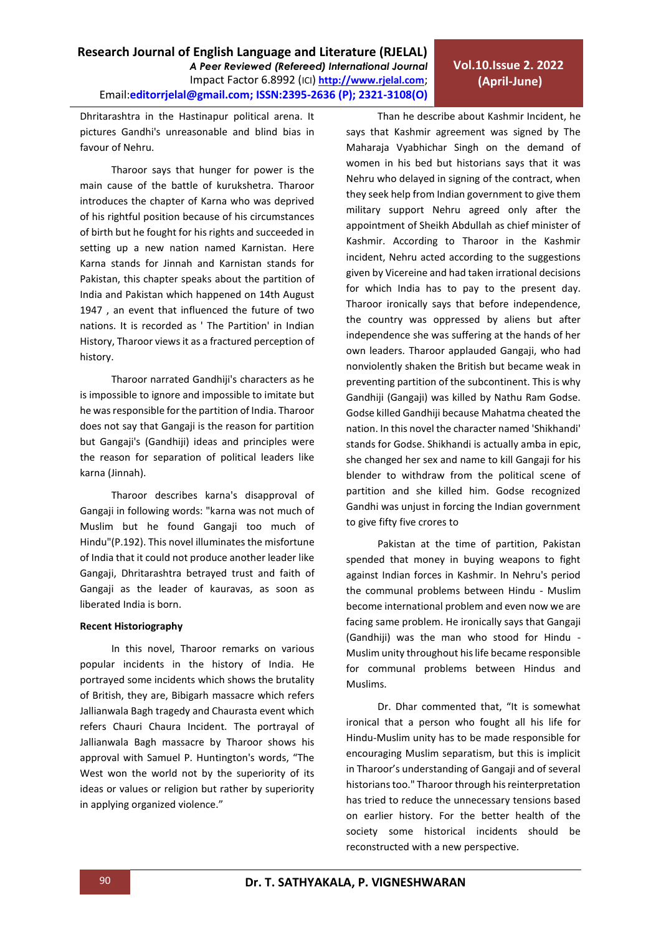Dhritarashtra in the Hastinapur political arena. It pictures Gandhi's unreasonable and blind bias in favour of Nehru.

Tharoor says that hunger for power is the main cause of the battle of kurukshetra. Tharoor introduces the chapter of Karna who was deprived of his rightful position because of his circumstances of birth but he fought for his rights and succeeded in setting up a new nation named Karnistan. Here Karna stands for Jinnah and Karnistan stands for Pakistan, this chapter speaks about the partition of India and Pakistan which happened on 14th August 1947 , an event that influenced the future of two nations. It is recorded as ' The Partition' in Indian History, Tharoor views it as a fractured perception of history.

Tharoor narrated Gandhiji's characters as he is impossible to ignore and impossible to imitate but he was responsible for the partition of India. Tharoor does not say that Gangaji is the reason for partition but Gangaji's (Gandhiji) ideas and principles were the reason for separation of political leaders like karna (Jinnah).

Tharoor describes karna's disapproval of Gangaji in following words: "karna was not much of Muslim but he found Gangaji too much of Hindu"(P.192). This novel illuminates the misfortune of India that it could not produce another leader like Gangaji, Dhritarashtra betrayed trust and faith of Gangaji as the leader of kauravas, as soon as liberated India is born.

### **Recent Historiography**

In this novel, Tharoor remarks on various popular incidents in the history of India. He portrayed some incidents which shows the brutality of British, they are, Bibigarh massacre which refers Jallianwala Bagh tragedy and Chaurasta event which refers Chauri Chaura Incident. The portrayal of Jallianwala Bagh massacre by Tharoor shows his approval with Samuel P. Huntington's words, "The West won the world not by the superiority of its ideas or values or religion but rather by superiority in applying organized violence."

Than he describe about Kashmir Incident, he says that Kashmir agreement was signed by The Maharaja Vyabhichar Singh on the demand of women in his bed but historians says that it was Nehru who delayed in signing of the contract, when they seek help from Indian government to give them military support Nehru agreed only after the appointment of Sheikh Abdullah as chief minister of Kashmir. According to Tharoor in the Kashmir incident, Nehru acted according to the suggestions given by Vicereine and had taken irrational decisions for which India has to pay to the present day. Tharoor ironically says that before independence, the country was oppressed by aliens but after independence she was suffering at the hands of her own leaders. Tharoor applauded Gangaji, who had nonviolently shaken the British but became weak in preventing partition of the subcontinent. This is why Gandhiji (Gangaji) was killed by Nathu Ram Godse. Godse killed Gandhiji because Mahatma cheated the nation. In this novel the character named 'Shikhandi' stands for Godse. Shikhandi is actually amba in epic, she changed her sex and name to kill Gangaji for his blender to withdraw from the political scene of partition and she killed him. Godse recognized Gandhi was unjust in forcing the Indian government to give fifty five crores to

Pakistan at the time of partition, Pakistan spended that money in buying weapons to fight against Indian forces in Kashmir. In Nehru's period the communal problems between Hindu - Muslim become international problem and even now we are facing same problem. He ironically says that Gangaji (Gandhiji) was the man who stood for Hindu - Muslim unity throughout his life became responsible for communal problems between Hindus and Muslims.

Dr. Dhar commented that, "It is somewhat ironical that a person who fought all his life for Hindu-Muslim unity has to be made responsible for encouraging Muslim separatism, but this is implicit in Tharoor's understanding of Gangaji and of several historians too." Tharoor through his reinterpretation has tried to reduce the unnecessary tensions based on earlier history. For the better health of the society some historical incidents should be reconstructed with a new perspective.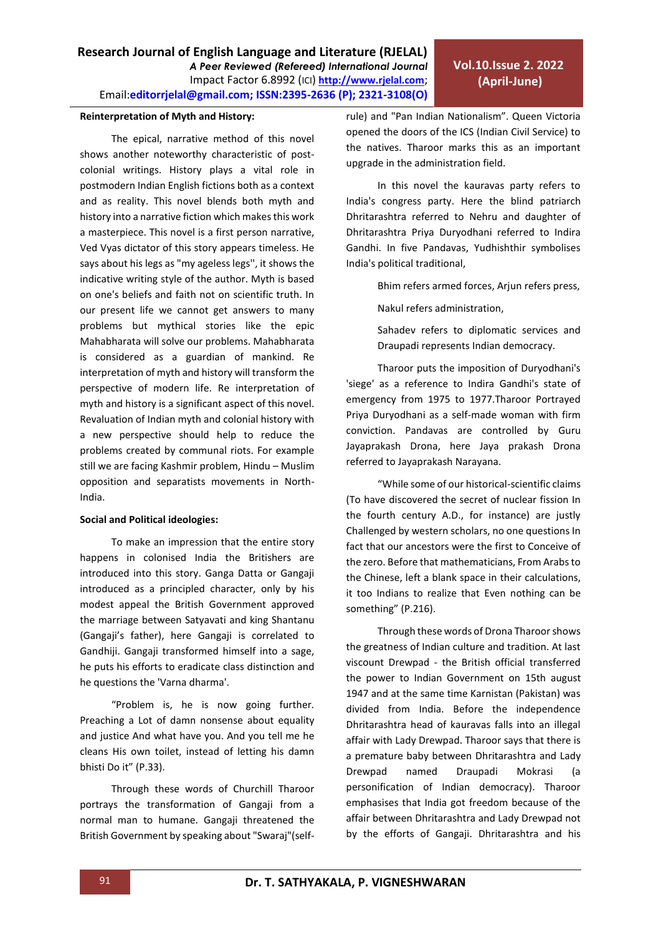## **Reinterpretation of Myth and History:**

The epical, narrative method of this novel shows another noteworthy characteristic of postcolonial writings. History plays a vital role in postmodern Indian English fictions both as a context and as reality. This novel blends both myth and history into a narrative fiction which makes this work a masterpiece. This novel is a first person narrative, Ved Vyas dictator of this story appears timeless. He says about his legs as "my ageless legs'', it shows the indicative writing style of the author. Myth is based on one's beliefs and faith not on scientific truth. In our present life we cannot get answers to many problems but mythical stories like the epic Mahabharata will solve our problems. Mahabharata is considered as a guardian of mankind. Re interpretation of myth and history will transform the perspective of modern life. Re interpretation of myth and history is a significant aspect of this novel. Revaluation of Indian myth and colonial history with a new perspective should help to reduce the problems created by communal riots. For example still we are facing Kashmir problem, Hindu – Muslim opposition and separatists movements in North-India.

# **Social and Political ideologies:**

To make an impression that the entire story happens in colonised India the Britishers are introduced into this story. Ganga Datta or Gangaji introduced as a principled character, only by his modest appeal the British Government approved the marriage between Satyavati and king Shantanu (Gangaji's father), here Gangaji is correlated to Gandhiji. Gangaji transformed himself into a sage, he puts his efforts to eradicate class distinction and he questions the 'Varna dharma'.

"Problem is, he is now going further. Preaching a Lot of damn nonsense about equality and justice And what have you. And you tell me he cleans His own toilet, instead of letting his damn bhisti Do it" (P.33).

Through these words of Churchill Tharoor portrays the transformation of Gangaji from a normal man to humane. Gangaji threatened the British Government by speaking about "Swaraj"(selfrule) and "Pan Indian Nationalism". Queen Victoria opened the doors of the ICS (Indian Civil Service) to the natives. Tharoor marks this as an important upgrade in the administration field.

In this novel the kauravas party refers to India's congress party. Here the blind patriarch Dhritarashtra referred to Nehru and daughter of Dhritarashtra Priya Duryodhani referred to Indira Gandhi. In five Pandavas, Yudhishthir symbolises India's political traditional,

Bhim refers armed forces, Arjun refers press,

Nakul refers administration,

Sahadev refers to diplomatic services and Draupadi represents Indian democracy.

Tharoor puts the imposition of Duryodhani's 'siege' as a reference to Indira Gandhi's state of emergency from 1975 to 1977.Tharoor Portrayed Priya Duryodhani as a self-made woman with firm conviction. Pandavas are controlled by Guru Jayaprakash Drona, here Jaya prakash Drona referred to Jayaprakash Narayana.

"While some of our historical-scientific claims (To have discovered the secret of nuclear fission In the fourth century A.D., for instance) are justly Challenged by western scholars, no one questions In fact that our ancestors were the first to Conceive of the zero. Before that mathematicians, From Arabs to the Chinese, left a blank space in their calculations, it too Indians to realize that Even nothing can be something" (P.216).

Through these words of Drona Tharoor shows the greatness of Indian culture and tradition. At last viscount Drewpad - the British official transferred the power to Indian Government on 15th august 1947 and at the same time Karnistan (Pakistan) was divided from India. Before the independence Dhritarashtra head of kauravas falls into an illegal affair with Lady Drewpad. Tharoor says that there is a premature baby between Dhritarashtra and Lady Drewpad named Draupadi Mokrasi (a personification of Indian democracy). Tharoor emphasises that India got freedom because of the affair between Dhritarashtra and Lady Drewpad not by the efforts of Gangaji. Dhritarashtra and his